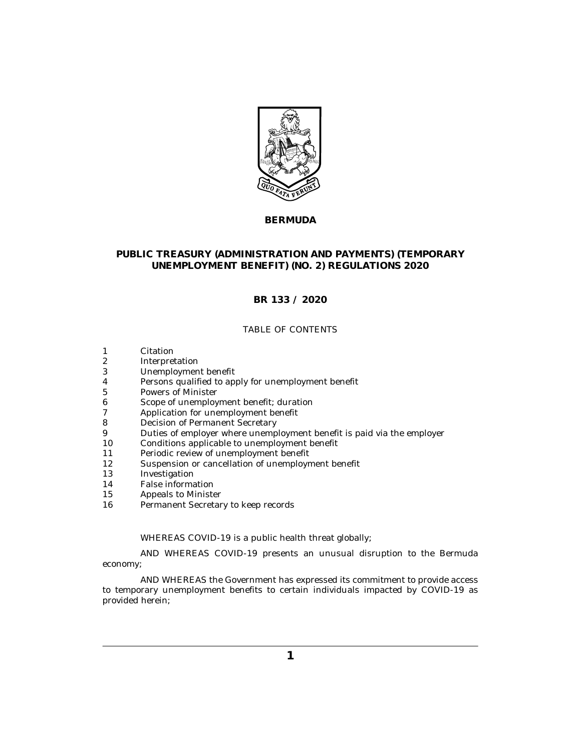

# **BERMUDA**

# **PUBLIC TREASURY (ADMINISTRATION AND PAYMENTS) (TEMPORARY UNEMPLOYMENT BENEFIT) (NO. 2) REGULATIONS 2020**

# **BR 133 / 2020**

#### TABLE OF CONTENTS

- [Citation](#page-1-0) 1
- [Interpretation](#page-1-0) 2
- [Unemployment benefit](#page-1-0) 3
- [Persons qualified to apply for unemployment benefit](#page-2-0) 4
- [Powers of Minister](#page-3-0) 5
- [Scope of unemployment benefit; duration](#page-3-0) 6
- [Application for unemployment benefit](#page-4-0) 7
- [Decision of Permanent Secretary](#page-5-0) 8
- [Duties of employer where unemployment benefit is paid via the employer](#page-6-0) 9
- [Conditions applicable to unemployment benefit](#page-7-0) 10
- [Periodic review of unemployment benefit](#page-8-0) 11
- [Suspension or cancellation of unemployment benefit](#page-8-0) 12
- [Investigation](#page-9-0) 13
- [False information](#page-9-0) 14
- [Appeals to Minister](#page-9-0) 15
- [Permanent Secretary to keep records](#page-10-0) 16

WHEREAS COVID-19 is a public health threat globally;

AND WHEREAS COVID-19 presents an unusual disruption to the Bermuda economy;

AND WHEREAS the Government has expressed its commitment to provide access to temporary unemployment benefits to certain individuals impacted by COVID-19 as provided herein;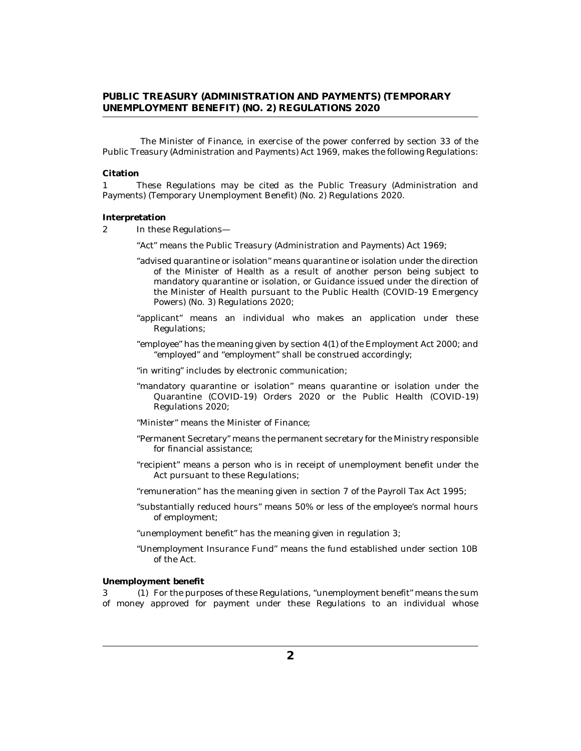<span id="page-1-0"></span>The Minister of Finance, in exercise of the power conferred by section 33 of the Public Treasury (Administration and Payments) Act 1969, makes the following Regulations:

#### **Citation**

These Regulations may be cited as the Public Treasury (Administration and Payments) (Temporary Unemployment Benefit) (No. 2) Regulations 2020. 1

#### **Interpretation**

In these Regulations— 2

"Act" means the Public Treasury (Administration and Payments) Act 1969;

- "advised quarantine or isolation" means quarantine or isolation under the direction of the Minister of Health as a result of another person being subject to mandatory quarantine or isolation, or Guidance issued under the direction of the Minister of Health pursuant to the Public Health (COVID-19 Emergency Powers) (No. 3) Regulations 2020;
- "applicant" means an individual who makes an application under these Regulations;
- "employee" has the meaning given by section 4(1) of the Employment Act 2000; and "employed" and "employment" shall be construed accordingly;
- "in writing" includes by electronic communication;
- "mandatory quarantine or isolation" means quarantine or isolation under the Quarantine (COVID-19) Orders 2020 or the Public Health (COVID-19) Regulations 2020;
- "Minister" means the Minister of Finance;
- "Permanent Secretary" means the permanent secretary for the Ministry responsible for financial assistance;
- "recipient" means a person who is in receipt of unemployment benefit under the Act pursuant to these Regulations;
- "remuneration" has the meaning given in section 7 of the Payroll Tax Act 1995;
- "substantially reduced hours" means 50% or less of the employee's normal hours of employment;
- "unemployment benefit" has the meaning given in regulation 3;
- "Unemployment Insurance Fund" means the fund established under section 10B of the Act.

#### **Unemployment benefit**

3 (1) For the purposes of these Regulations, "unemployment benefit" means the sum of money approved for payment under these Regulations to an individual whose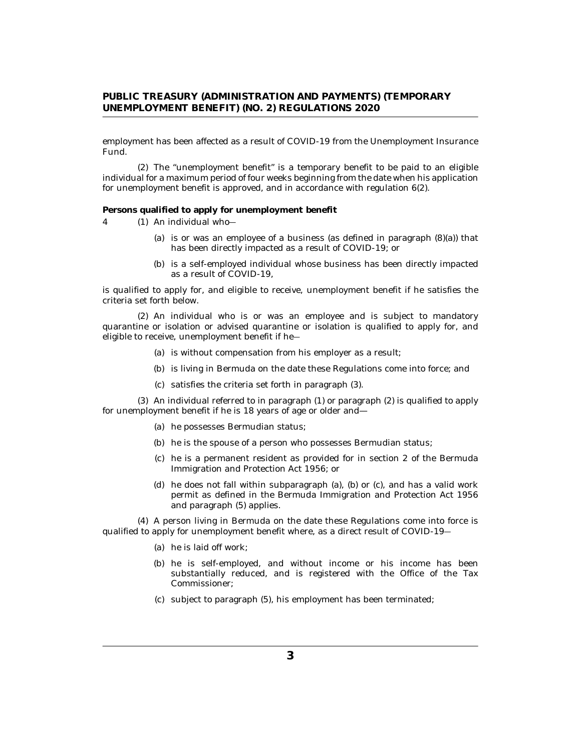<span id="page-2-0"></span>employment has been affected as a result of COVID-19 from the Unemployment Insurance Fund.

The "unemployment benefit" is a temporary benefit to be paid to an eligible (2) individual for a maximum period of four weeks beginning from the date when his application for unemployment benefit is approved, and in accordance with regulation 6(2).

**Persons qualified to apply for unemployment benefit**

- An individual who― 4 (1)
	- (a) is or was an employee of a business (as defined in paragraph  $(8)(a)$ ) that has been directly impacted as a result of COVID-19; or
	- (b) is a self-employed individual whose business has been directly impacted as a result of COVID-19,

is qualified to apply for, and eligible to receive, unemployment benefit if he satisfies the criteria set forth below.

An individual who is or was an employee and is subject to mandatory (2) quarantine or isolation or advised quarantine or isolation is qualified to apply for, and eligible to receive, unemployment benefit if he―

- (a) is without compensation from his employer as a result;
- (b) is living in Bermuda on the date these Regulations come into force; and
- (c) satisfies the criteria set forth in paragraph (3).

 $(3)$  An individual referred to in paragraph  $(1)$  or paragraph  $(2)$  is qualified to apply for unemployment benefit if he is 18 years of age or older and—

- (a) he possesses Bermudian status;
- (b) he is the spouse of a person who possesses Bermudian status;
- (c) he is a permanent resident as provided for in section 2 of the Bermuda Immigration and Protection Act 1956; or
- (d) he does not fall within subparagraph (a), (b) or (c), and has a valid work permit as defined in the Bermuda Immigration and Protection Act 1956 and paragraph (5) applies.

A person living in Bermuda on the date these Regulations come into force is (4) qualified to apply for unemployment benefit where, as a direct result of COVID-19―

- (a) he is laid off work;
- (b) he is self-employed, and without income or his income has been substantially reduced, and is registered with the Office of the Tax Commissioner;
- (c) subject to paragraph (5), his employment has been terminated;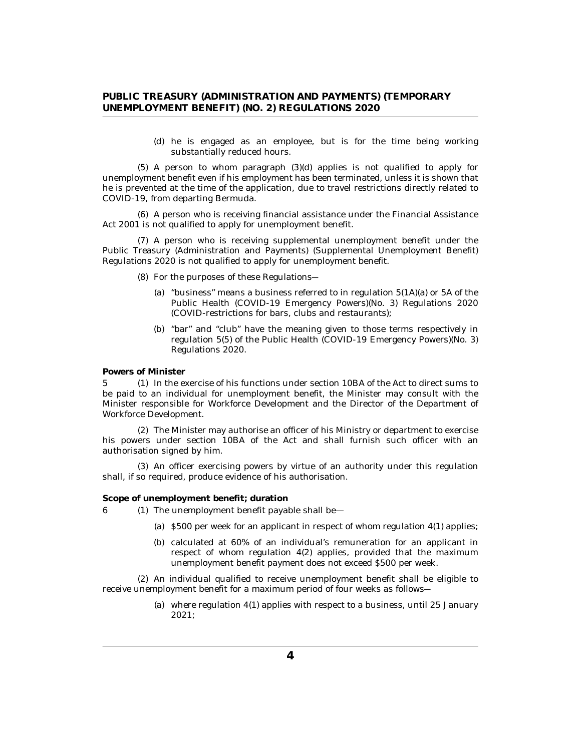(d) he is engaged as an employee, but is for the time being working substantially reduced hours.

<span id="page-3-0"></span> $(5)$  A person to whom paragraph  $(3)(d)$  applies is not qualified to apply for unemployment benefit even if his employment has been terminated, unless it is shown that he is prevented at the time of the application, due to travel restrictions directly related to COVID-19, from departing Bermuda.

A person who is receiving financial assistance under the Financial Assistance (6) Act 2001 is not qualified to apply for unemployment benefit.

A person who is receiving supplemental unemployment benefit under the (7) Public Treasury (Administration and Payments) (Supplemental Unemployment Benefit) Regulations 2020 is not qualified to apply for unemployment benefit.

- For the purposes of these Regulations― (8)
	- (a) "business" means a business referred to in regulation  $5(1\text{A})(\text{a})$  or  $5\text{A}$  of the Public Health (COVID-19 Emergency Powers)(No. 3) Regulations 2020 (COVID-restrictions for bars, clubs and restaurants);
	- (b) "bar" and "club" have the meaning given to those terms respectively in regulation 5(5) of the Public Health (COVID-19 Emergency Powers)(No. 3) Regulations 2020.

**Powers of Minister**

5 (1) In the exercise of his functions under section 10BA of the Act to direct sums to be paid to an individual for unemployment benefit, the Minister may consult with the Minister responsible for Workforce Development and the Director of the Department of Workforce Development.

The Minister may authorise an officer of his Ministry or department to exercise (2) his powers under section 10BA of the Act and shall furnish such officer with an authorisation signed by him.

(3) An officer exercising powers by virtue of an authority under this regulation shall, if so required, produce evidence of his authorisation.

**Scope of unemployment benefit; duration**

- 6 (1) The unemployment benefit payable shall be—
	- (a)  $$500$  per week for an applicant in respect of whom regulation  $4(1)$  applies;
	- calculated at 60% of an individual's remuneration for an applicant in (b) respect of whom regulation 4(2) applies, provided that the maximum unemployment benefit payment does not exceed \$500 per week.

(2) An individual qualified to receive unemployment benefit shall be eligible to receive unemployment benefit for a maximum period of four weeks as follows―

> where regulation 4(1) applies with respect to a business, until 25 January (a) 2021;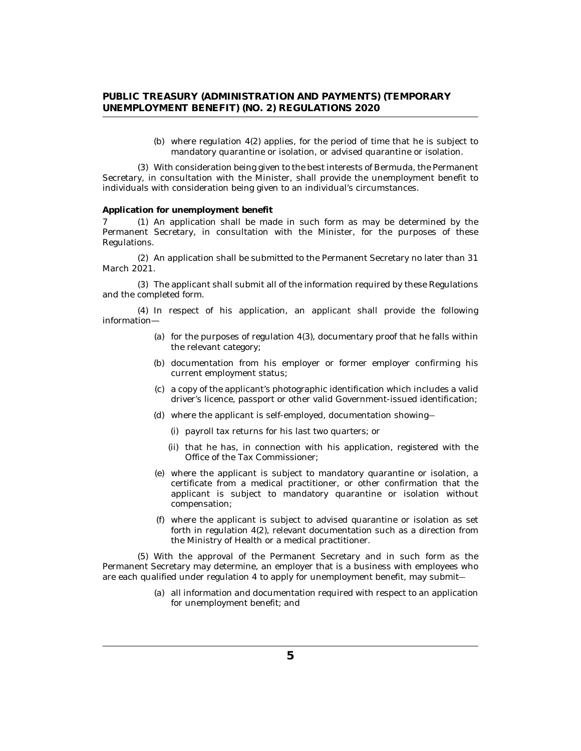(b) where regulation  $4(2)$  applies, for the period of time that he is subject to mandatory quarantine or isolation, or advised quarantine or isolation.

<span id="page-4-0"></span>With consideration being given to the best interests of Bermuda, the Permanent (3) Secretary, in consultation with the Minister, shall provide the unemployment benefit to individuals with consideration being given to an individual's circumstances.

**Application for unemployment benefit**

7 (1) An application shall be made in such form as may be determined by the Permanent Secretary, in consultation with the Minister, for the purposes of these Regulations.

(2) An application shall be submitted to the Permanent Secretary no later than 31 March 2021.

The applicant shall submit all of the information required by these Regulations (3) and the completed form.

(4) In respect of his application, an applicant shall provide the following information—

- (a) for the purposes of regulation  $4(3)$ , documentary proof that he falls within the relevant category;
- (b) documentation from his employer or former employer confirming his current employment status;
- a copy of the applicant's photographic identification which includes a valid (c) driver's licence, passport or other valid Government-issued identification;
- where the applicant is self-employed, documentation showing― (d)
	- (i) payroll tax returns for his last two quarters; or
	- (ii) that he has, in connection with his application, registered with the Office of the Tax Commissioner;
- where the applicant is subject to mandatory quarantine or isolation, a (e) certificate from a medical practitioner, or other confirmation that the applicant is subject to mandatory quarantine or isolation without compensation;
- where the applicant is subject to advised quarantine or isolation as set (f) forth in regulation 4(2), relevant documentation such as a direction from the Ministry of Health or a medical practitioner.

With the approval of the Permanent Secretary and in such form as the (5) Permanent Secretary may determine, an employer that is a business with employees who are each qualified under regulation 4 to apply for unemployment benefit, may submit―

> all information and documentation required with respect to an application (a) for unemployment benefit; and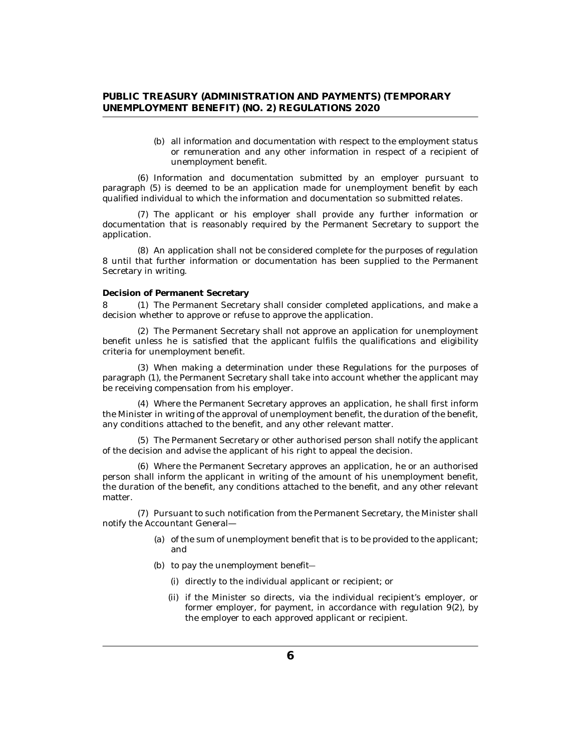(b) all information and documentation with respect to the employment status or remuneration and any other information in respect of a recipient of unemployment benefit.

<span id="page-5-0"></span>(6) Information and documentation submitted by an employer pursuant to paragraph (5) is deemed to be an application made for unemployment benefit by each qualified individual to which the information and documentation so submitted relates.

The applicant or his employer shall provide any further information or (7) documentation that is reasonably required by the Permanent Secretary to support the application.

An application shall not be considered complete for the purposes of regulation (8) 8 until that further information or documentation has been supplied to the Permanent Secretary in writing.

#### **Decision of Permanent Secretary**

8 (1) The Permanent Secretary shall consider completed applications, and make a decision whether to approve or refuse to approve the application.

The Permanent Secretary shall not approve an application for unemployment (2) benefit unless he is satisfied that the applicant fulfils the qualifications and eligibility criteria for unemployment benefit.

When making a determination under these Regulations for the purposes of (3) paragraph (1), the Permanent Secretary shall take into account whether the applicant may be receiving compensation from his employer.

Where the Permanent Secretary approves an application, he shall first inform (4) the Minister in writing of the approval of unemployment benefit, the duration of the benefit, any conditions attached to the benefit, and any other relevant matter.

The Permanent Secretary or other authorised person shall notify the applicant (5) of the decision and advise the applicant of his right to appeal the decision.

Where the Permanent Secretary approves an application, he or an authorised (6) person shall inform the applicant in writing of the amount of his unemployment benefit, the duration of the benefit, any conditions attached to the benefit, and any other relevant matter.

(7) Pursuant to such notification from the Permanent Secretary, the Minister shall notify the Accountant General—

- (a) of the sum of unemployment benefit that is to be provided to the applicant; and
- (b) to pay the unemployment benefit-
	- (i) directly to the individual applicant or recipient; or
	- (ii) if the Minister so directs, via the individual recipient's employer, or former employer, for payment, in accordance with regulation 9(2), by the employer to each approved applicant or recipient.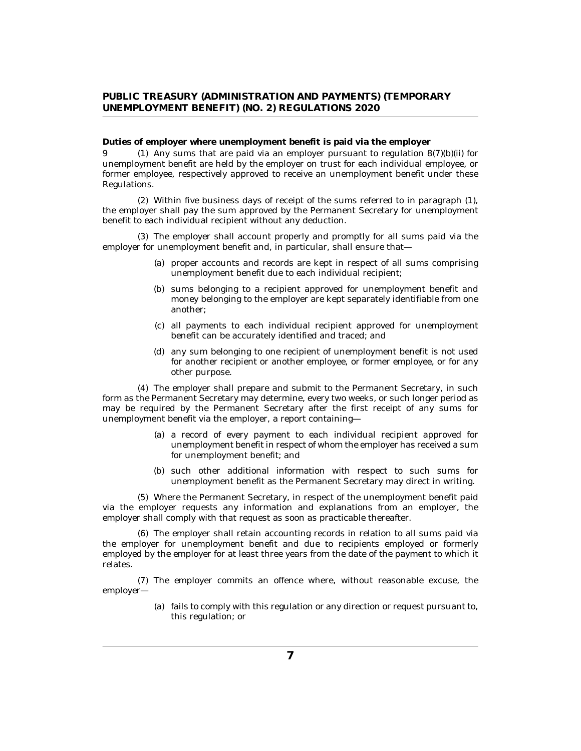<span id="page-6-0"></span>**Duties of employer where unemployment benefit is paid via the employer**

9 (1) Any sums that are paid via an employer pursuant to regulation 8(7)(b)(ii) for unemployment benefit are held by the employer on trust for each individual employee, or former employee, respectively approved to receive an unemployment benefit under these Regulations.

Within five business days of receipt of the sums referred to in paragraph (1), (2) the employer shall pay the sum approved by the Permanent Secretary for unemployment benefit to each individual recipient without any deduction.

The employer shall account properly and promptly for all sums paid via the (3) employer for unemployment benefit and, in particular, shall ensure that—

- (a) proper accounts and records are kept in respect of all sums comprising unemployment benefit due to each individual recipient;
- (b) sums belonging to a recipient approved for unemployment benefit and money belonging to the employer are kept separately identifiable from one another;
- all payments to each individual recipient approved for unemployment (c) benefit can be accurately identified and traced; and
- (d) any sum belonging to one recipient of unemployment benefit is not used for another recipient or another employee, or former employee, or for any other purpose.

The employer shall prepare and submit to the Permanent Secretary, in such (4) form as the Permanent Secretary may determine, every two weeks, or such longer period as may be required by the Permanent Secretary after the first receipt of any sums for unemployment benefit via the employer, a report containing—

- (a) a record of every payment to each individual recipient approved for unemployment benefit in respect of whom the employer has received a sum for unemployment benefit; and
- (b) such other additional information with respect to such sums for unemployment benefit as the Permanent Secretary may direct in writing.

Where the Permanent Secretary, in respect of the unemployment benefit paid (5) via the employer requests any information and explanations from an employer, the employer shall comply with that request as soon as practicable thereafter.

The employer shall retain accounting records in relation to all sums paid via (6) the employer for unemployment benefit and due to recipients employed or formerly employed by the employer for at least three years from the date of the payment to which it relates.

(7) The employer commits an offence where, without reasonable excuse, the employer—

> fails to comply with this regulation or any direction or request pursuant to, (a) this regulation; or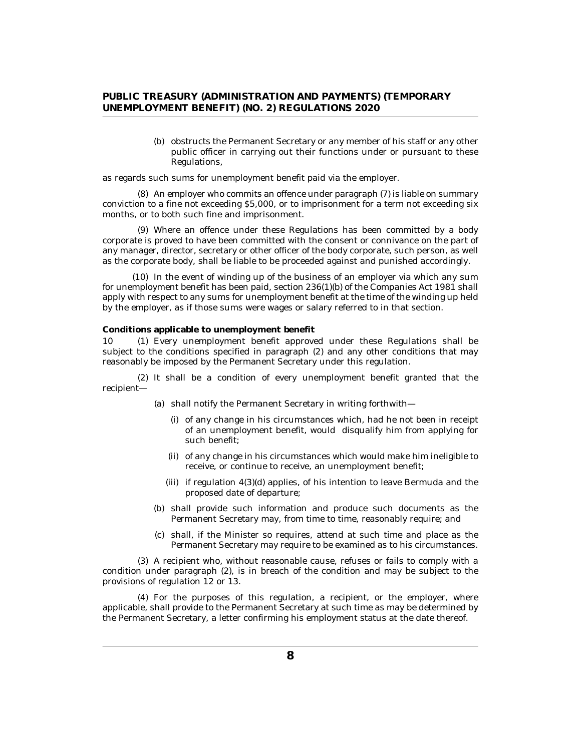(b) obstructs the Permanent Secretary or any member of his staff or any other public officer in carrying out their functions under or pursuant to these Regulations,

<span id="page-7-0"></span>as regards such sums for unemployment benefit paid via the employer.

An employer who commits an offence under paragraph (7) is liable on summary (8) conviction to a fine not exceeding \$5,000, or to imprisonment for a term not exceeding six months, or to both such fine and imprisonment.

Where an offence under these Regulations has been committed by a body (9) corporate is proved to have been committed with the consent or connivance on the part of any manager, director, secretary or other officer of the body corporate, such person, as well as the corporate body, shall be liable to be proceeded against and punished accordingly.

(10) In the event of winding up of the business of an employer via which any sum for unemployment benefit has been paid, section 236(1)(b) of the Companies Act 1981 shall apply with respect to any sums for unemployment benefit at the time of the winding up held by the employer, as if those sums were wages or salary referred to in that section.

**Conditions applicable to unemployment benefit**

10 (1) Every unemployment benefit approved under these Regulations shall be subject to the conditions specified in paragraph (2) and any other conditions that may reasonably be imposed by the Permanent Secretary under this regulation.

(2) It shall be a condition of every unemployment benefit granted that the recipient—

- (a) shall notify the Permanent Secretary in writing forthwith—
	- (i) of any change in his circumstances which, had he not been in receipt of an unemployment benefit, would disqualify him from applying for such benefit;
	- (ii) of any change in his circumstances which would make him ineligible to receive, or continue to receive, an unemployment benefit;
	- $(iii)$  if regulation  $4(3)(d)$  applies, of his intention to leave Bermuda and the proposed date of departure;
- (b) shall provide such information and produce such documents as the Permanent Secretary may, from time to time, reasonably require; and
- (c) shall, if the Minister so requires, attend at such time and place as the Permanent Secretary may require to be examined as to his circumstances.

A recipient who, without reasonable cause, refuses or fails to comply with a (3) condition under paragraph (2), is in breach of the condition and may be subject to the provisions of regulation 12 or 13.

For the purposes of this regulation, a recipient, or the employer, where (4) applicable, shall provide to the Permanent Secretary at such time as may be determined by the Permanent Secretary, a letter confirming his employment status at the date thereof.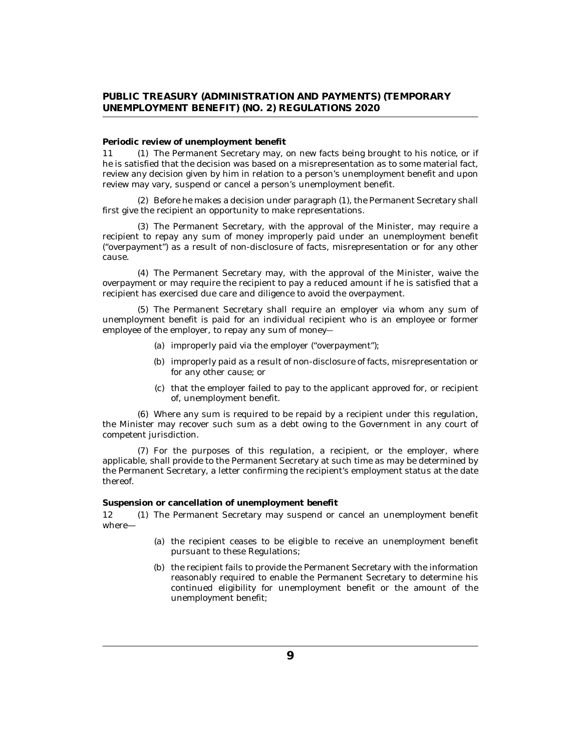#### <span id="page-8-0"></span>**Periodic review of unemployment benefit**

11 (1) The Permanent Secretary may, on new facts being brought to his notice, or if he is satisfied that the decision was based on a misrepresentation as to some material fact, review any decision given by him in relation to a person's unemployment benefit and upon review may vary, suspend or cancel a person's unemployment benefit.

(2) Before he makes a decision under paragraph (1), the Permanent Secretary shall first give the recipient an opportunity to make representations.

The Permanent Secretary, with the approval of the Minister, may require a (3) recipient to repay any sum of money improperly paid under an unemployment benefit ("overpayment") as a result of non-disclosure of facts, misrepresentation or for any other cause.

The Permanent Secretary may, with the approval of the Minister, waive the (4) overpayment or may require the recipient to pay a reduced amount if he is satisfied that a recipient has exercised due care and diligence to avoid the overpayment.

The Permanent Secretary shall require an employer via whom any sum of (5) unemployment benefit is paid for an individual recipient who is an employee or former employee of the employer, to repay any sum of money―

- (a) improperly paid via the employer ("overpayment");
- (b) improperly paid as a result of non-disclosure of facts, misrepresentation or for any other cause; or
- (c) that the employer failed to pay to the applicant approved for, or recipient of, unemployment benefit.

Where any sum is required to be repaid by a recipient under this regulation, (6) the Minister may recover such sum as a debt owing to the Government in any court of competent jurisdiction.

For the purposes of this regulation, a recipient, or the employer, where (7) applicable, shall provide to the Permanent Secretary at such time as may be determined by the Permanent Secretary, a letter confirming the recipient's employment status at the date thereof.

**Suspension or cancellation of unemployment benefit**

The Permanent Secretary may suspend or cancel an unemployment benefit where— 12

- (a) the recipient ceases to be eligible to receive an unemployment benefit pursuant to these Regulations;
- (b) the recipient fails to provide the Permanent Secretary with the information reasonably required to enable the Permanent Secretary to determine his continued eligibility for unemployment benefit or the amount of the unemployment benefit;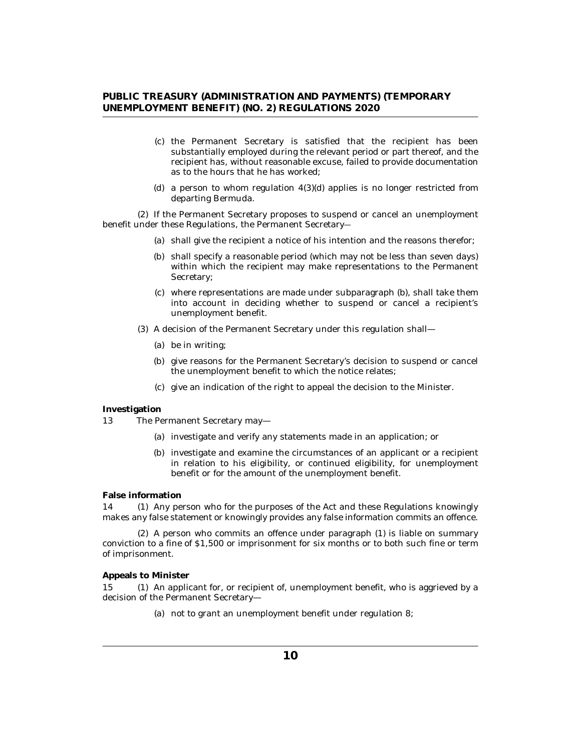- <span id="page-9-0"></span>(c) the Permanent Secretary is satisfied that the recipient has been substantially employed during the relevant period or part thereof, and the recipient has, without reasonable excuse, failed to provide documentation as to the hours that he has worked;
- (d) a person to whom regulation  $4(3)(d)$  applies is no longer restricted from departing Bermuda.

(2) If the Permanent Secretary proposes to suspend or cancel an unemployment benefit under these Regulations, the Permanent Secretary―

- (a) shall give the recipient a notice of his intention and the reasons therefor;
- (b) shall specify a reasonable period (which may not be less than seven days) within which the recipient may make representations to the Permanent Secretary;
- where representations are made under subparagraph (b), shall take them (c) into account in deciding whether to suspend or cancel a recipient's unemployment benefit.
- (3) A decision of the Permanent Secretary under this regulation shall
	- be in writing; (a)
	- (b) give reasons for the Permanent Secretary's decision to suspend or cancel the unemployment benefit to which the notice relates;
	- give an indication of the right to appeal the decision to the Minister. (c)

#### **Investigation**

- The Permanent Secretary may— 13
	- (a) investigate and verify any statements made in an application; or
	- (b) investigate and examine the circumstances of an applicant or a recipient in relation to his eligibility, or continued eligibility, for unemployment benefit or for the amount of the unemployment benefit.

#### **False information**

14 (1) Any person who for the purposes of the Act and these Regulations knowingly makes any false statement or knowingly provides any false information commits an offence.

(2) A person who commits an offence under paragraph (1) is liable on summary conviction to a fine of \$1,500 or imprisonment for six months or to both such fine or term of imprisonment.

**Appeals to Minister**

15 (1) An applicant for, or recipient of, unemployment benefit, who is aggrieved by a decision of the Permanent Secretary—

(a) not to grant an unemployment benefit under regulation 8;